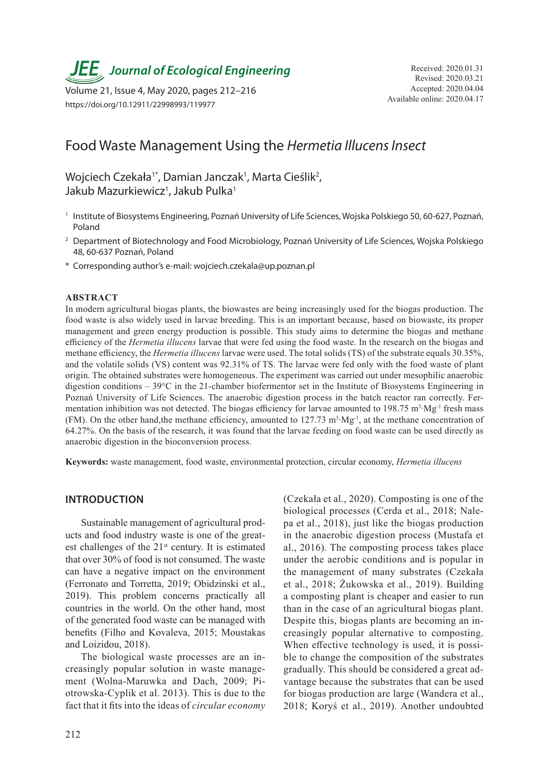*JEE* Journal of Ecological Engineering Received: 2020.01.31

Available online: 2020.04.17 Volume 21, Issue 4, May 2020, pages 212–216 https://doi.org/10.12911/22998993/119977

# Food Waste Management Using the *Hermetia Illucens Insect*

# Wojciech Czekała<sup>1\*</sup>, Damian Janczak<sup>1</sup>, Marta Cieślik<sup>2</sup>, Jakub Mazurkiewicz<sup>1</sup>, Jakub Pulka<sup>1</sup>

- <sup>1</sup> Institute of Biosystems Engineering, Poznań University of Life Sciences, Wojska Polskiego 50, 60-627, Poznań, Poland
- <sup>2</sup> Department of Biotechnology and Food Microbiology, Poznań University of Life Sciences, Wojska Polskiego 48, 60-637 Poznań, Poland
- \* Corresponding author's e-mail: wojciech.czekala@up.poznan.pl

#### **ABSTRACT**

In modern agricultural biogas plants, the biowastes are being increasingly used for the biogas production. The food waste is also widely used in larvae breeding. This is an important because, based on biowaste, its proper management and green energy production is possible. This study aims to determine the biogas and methane efficiency of the *Hermetia illucens* larvae that were fed using the food waste. In the research on the biogas and methane efficiency, the *Hermetia illucens* larvae were used. The total solids (TS) of the substrate equals 30.35%, and the volatile solids (VS) content was 92.31% of TS. The larvae were fed only with the food waste of plant origin. The obtained substrates were homogeneous. The experiment was carried out under mesophilic anaerobic digestion conditions – 39°C in the 21-chamber biofermentor set in the Institute of Biosystems Engineering in Poznań University of Life Sciences. The anaerobic digestion process in the batch reactor ran correctly. Fermentation inhibition was not detected. The biogas efficiency for larvae amounted to  $198.75 \text{ m}^3 \cdot \text{Mg}^{-1}$  fresh mass (FM). On the other hand,the methane efficiency, amounted to 127.73 m<sup>3</sup>⋅Mg<sup>-1</sup>, at the methane concentration of 64.27%. On the basis of the research, it was found that the larvae feeding on food waste can be used directly as anaerobic digestion in the bioconversion process.

**Keywords:** waste management, food waste, environmental protection, circular economy, *Hermetia illucens*

#### **INTRODUCTION**

Sustainable management of agricultural products and food industry waste is one of the greatest challenges of the  $21<sup>st</sup>$  century. It is estimated that over 30% of food is not consumed. The waste can have a negative impact on the environment (Ferronato and Torretta, 2019; Obidzinski et al., 2019). This problem concerns practically all countries in the world. On the other hand, most of the generated food waste can be managed with benefits (Filho and Kovaleva, 2015; Moustakas and Loizidou, 2018).

The biological waste processes are an increasingly popular solution in waste management (Wolna-Maruwka and Dach, 2009; Piotrowska-Cyplik et al. 2013). This is due to the fact that it fits into the ideas of *circular economy*  (Czekała et al., 2020). Composting is one of the biological processes (Cerda et al., 2018; Nalepa et al., 2018), just like the biogas production in the anaerobic digestion process (Mustafa et al., 2016). The composting process takes place under the aerobic conditions and is popular in the management of many substrates (Czekała et al., 2018; Żukowska et al., 2019). Building a composting plant is cheaper and easier to run than in the case of an agricultural biogas plant. Despite this, biogas plants are becoming an increasingly popular alternative to composting. When effective technology is used, it is possible to change the composition of the substrates gradually. This should be considered a great advantage because the substrates that can be used for biogas production are large (Wandera et al., 2018; Koryś et al., 2019). Another undoubted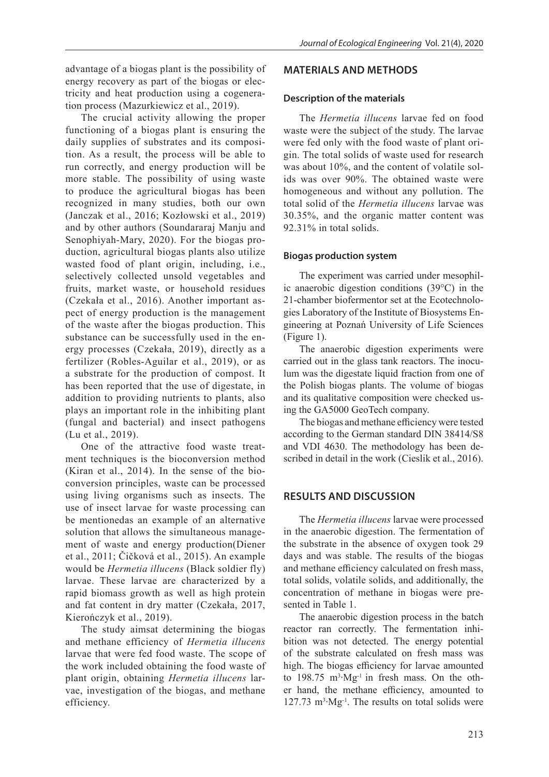advantage of a biogas plant is the possibility of energy recovery as part of the biogas or electricity and heat production using a cogeneration process (Mazurkiewicz et al., 2019).

The crucial activity allowing the proper functioning of a biogas plant is ensuring the daily supplies of substrates and its composition. As a result, the process will be able to run correctly, and energy production will be more stable. The possibility of using waste to produce the agricultural biogas has been recognized in many studies, both our own (Janczak et al., 2016; Kozłowski et al., 2019) and by other authors (Soundararaj Manju and Senophiyah-Mary, 2020). For the biogas production, agricultural biogas plants also utilize wasted food of plant origin, including, i.e., selectively collected unsold vegetables and fruits, market waste, or household residues (Czekała et al., 2016). Another important aspect of energy production is the management of the waste after the biogas production. This substance can be successfully used in the energy processes (Czekała, 2019), directly as a fertilizer (Robles-Aguilar et al., 2019), or as a substrate for the production of compost. It has been reported that the use of digestate, in addition to providing nutrients to plants, also plays an important role in the inhibiting plant (fungal and bacterial) and insect pathogens (Lu et al., 2019).

One of the attractive food waste treatment techniques is the bioconversion method (Kiran et al., 2014). In the sense of the bioconversion principles, waste can be processed using living organisms such as insects. The use of insect larvae for waste processing can be mentionedas an example of an alternative solution that allows the simultaneous management of waste and energy production(Diener et al., 2011; Čičková et al., 2015). An example would be *Hermetia illucens* (Black soldier fly) larvae. These larvae are characterized by a rapid biomass growth as well as high protein and fat content in dry matter (Czekała, 2017, Kierończyk et al., 2019).

The study aimsat determining the biogas and methane efficiency of *Hermetia illucens* larvae that were fed food waste. The scope of the work included obtaining the food waste of plant origin, obtaining *Hermetia illucens* larvae, investigation of the biogas, and methane efficiency.

# **MATERIALS AND METHODS**

### **Description of the materials**

The *Hermetia illucens* larvae fed on food waste were the subject of the study. The larvae were fed only with the food waste of plant origin. The total solids of waste used for research was about 10%, and the content of volatile solids was over 90%. The obtained waste were homogeneous and without any pollution. The total solid of the *Hermetia illucens* larvae was 30.35%, and the organic matter content was 92.31% in total solids.

### **Biogas production system**

The experiment was carried under mesophilic anaerobic digestion conditions (39°C) in the 21-chamber biofermentor set at the Ecotechnologies Laboratory of the Institute of Biosystems Engineering at Poznań University of Life Sciences (Figure 1).

The anaerobic digestion experiments were carried out in the glass tank reactors. The inoculum was the digestate liquid fraction from one of the Polish biogas plants. The volume of biogas and its qualitative composition were checked using the GA5000 GeoTech company.

The biogas and methane efficiency were tested according to the German standard DIN 38414/S8 and VDI 4630. The methodology has been described in detail in the work (Cieslik et al., 2016).

# **RESULTS AND DISCUSSION**

The *Hermetia illucens* larvae were processed in the anaerobic digestion. The fermentation of the substrate in the absence of oxygen took 29 days and was stable. The results of the biogas and methane efficiency calculated on fresh mass, total solids, volatile solids, and additionally, the concentration of methane in biogas were presented in Table 1.

The anaerobic digestion process in the batch reactor ran correctly. The fermentation inhibition was not detected. The energy potential of the substrate calculated on fresh mass was high. The biogas efficiency for larvae amounted to 198.75  $m^3$ ·Mg<sup>-1</sup> in fresh mass. On the other hand, the methane efficiency, amounted to  $127.73 \text{ m}^3 \cdot \text{Mg}^{-1}$ . The results on total solids were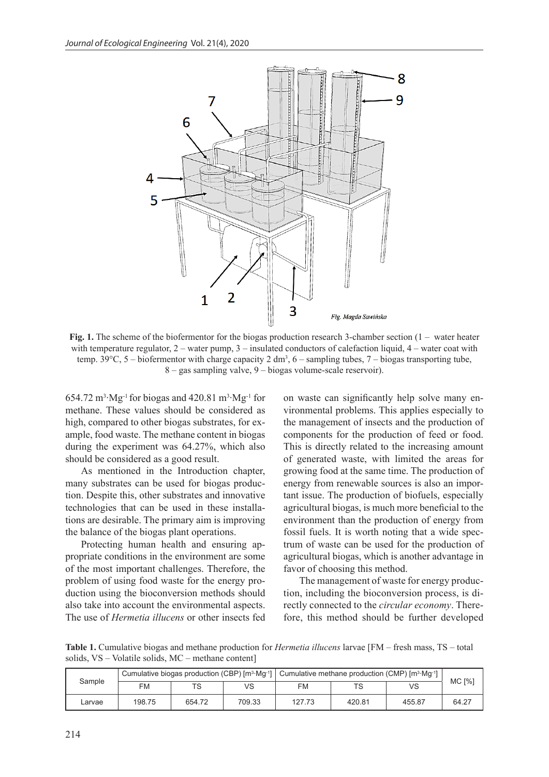

**Fig. 1.** The scheme of the biofermentor for the biogas production research 3-chamber section (1 – water heater with temperature regulator, 2 – water pump, 3 – insulated conductors of calefaction liquid, 4 – water coat with temp. 39 $^{\circ}$ C, 5 – biofermentor with charge capacity 2 dm<sup>3</sup>, 6 – sampling tubes, 7 – biogas transporting tube, 8 – gas sampling valve, 9 – biogas volume-scale reservoir).

 $654.72 \text{ m}^3 \cdot \text{Mg}^{-1}$  for biogas and  $420.81 \text{ m}^3 \cdot \text{Mg}^{-1}$  for methane. These values should be considered as high, compared to other biogas substrates, for example, food waste. The methane content in biogas during the experiment was 64.27%, which also should be considered as a good result.

As mentioned in the Introduction chapter, many substrates can be used for biogas production. Despite this, other substrates and innovative technologies that can be used in these installations are desirable. The primary aim is improving the balance of the biogas plant operations.

Protecting human health and ensuring appropriate conditions in the environment are some of the most important challenges. Therefore, the problem of using food waste for the energy production using the bioconversion methods should also take into account the environmental aspects. The use of *Hermetia illucens* or other insects fed

on waste can significantly help solve many environmental problems. This applies especially to the management of insects and the production of components for the production of feed or food. This is directly related to the increasing amount of generated waste, with limited the areas for growing food at the same time. The production of energy from renewable sources is also an important issue. The production of biofuels, especially agricultural biogas, is much more beneficial to the environment than the production of energy from fossil fuels. It is worth noting that a wide spectrum of waste can be used for the production of agricultural biogas, which is another advantage in favor of choosing this method.

The management of waste for energy production, including the bioconversion process, is directly connected to the *circular economy*. Therefore, this method should be further developed

**Table 1.** Cumulative biogas and methane production for *Hermetia illucens* larvae [FM – fresh mass, TS – total solids, VS – Volatile solids, MC – methane content]

| Sample |        |        |        | Cumulative biogas production (CBP) $\text{[m}^3 \cdot \text{Mg}^{-1}]$ Cumulative methane production (CMP) $\text{[m}^3 \cdot \text{Mg}^{-1}]$ |        |        |               |
|--------|--------|--------|--------|------------------------------------------------------------------------------------------------------------------------------------------------|--------|--------|---------------|
|        | FM     | TS     | VS     | FM                                                                                                                                             | TS     | VS     | <b>MC [%]</b> |
| Larvae | 198.75 | 654.72 | 709.33 | 127.73                                                                                                                                         | 420.81 | 455.87 | 64.27         |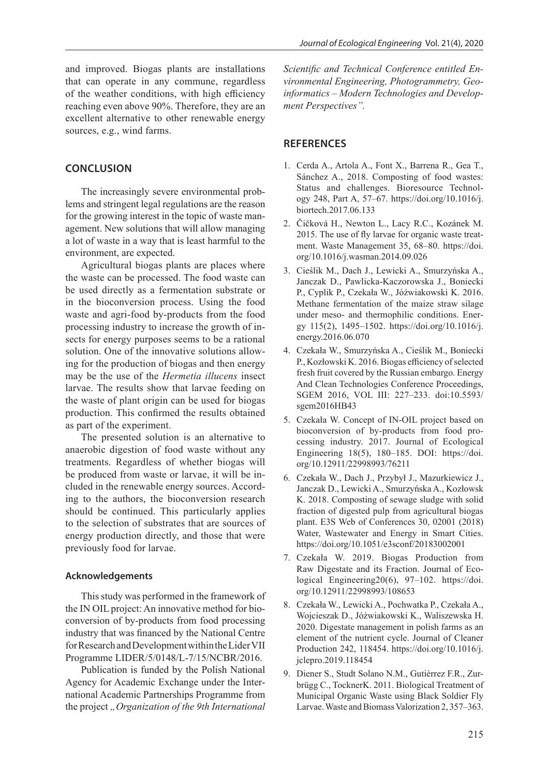and improved. Biogas plants are installations that can operate in any commune, regardless of the weather conditions, with high efficiency reaching even above 90%. Therefore, they are an excellent alternative to other renewable energy sources, e.g., wind farms.

#### **CONCLUSION**

The increasingly severe environmental problems and stringent legal regulations are the reason for the growing interest in the topic of waste management. New solutions that will allow managing a lot of waste in a way that is least harmful to the environment, are expected.

Agricultural biogas plants are places where the waste can be processed. The food waste can be used directly as a fermentation substrate or in the bioconversion process. Using the food waste and agri-food by-products from the food processing industry to increase the growth of insects for energy purposes seems to be a rational solution. One of the innovative solutions allowing for the production of biogas and then energy may be the use of the *Hermetia illucens* insect larvae. The results show that larvae feeding on the waste of plant origin can be used for biogas production. This confirmed the results obtained as part of the experiment.

The presented solution is an alternative to anaerobic digestion of food waste without any treatments. Regardless of whether biogas will be produced from waste or larvae, it will be included in the renewable energy sources. According to the authors, the bioconversion research should be continued. This particularly applies to the selection of substrates that are sources of energy production directly, and those that were previously food for larvae.

#### **Acknowledgements**

This study was performed in the framework of the IN OIL project: An innovative method for bioconversion of by-products from food processing industry that was financed by the National Centre for Research and Development within the Lider VII Programme LIDER/5/0148/L-7/15/NCBR/2016.

Publication is funded by the Polish National Agency for Academic Exchange under the International Academic Partnerships Programme from the project *"Organization of the 9th International*  *Scientific and Technical Conference entitled Environmental Engineering, Photogrammetry, Geoinformatics – Modern Technologies and Development Perspectives".*

## **REFERENCES**

- 1. Cerda A., Artola A., Font X., Barrena R., Gea T., Sánchez A., 2018. Composting of food wastes: Status and challenges. Bioresource Technology 248, Part A, 57–67. https://doi.org/10.1016/j. biortech.2017.06.133
- 2. Čičková H., Newton L., Lacy R.C., Kozánek M. 2015. The use of fly larvae for organic waste treatment. Waste Management 35, 68–80. https://doi. org/10.1016/j.wasman.2014.09.026
- 3. Cieślik M., Dach J., Lewicki A., Smurzyńska A., Janczak D., Pawlicka-Kaczorowska J., Boniecki P., Cyplik P., Czekała W., Jóźwiakowski K. 2016. Methane fermentation of the maize straw silage under meso- and thermophilic conditions. Energy 115(2), 1495–1502. https://doi.org/10.1016/j. energy.2016.06.070
- 4. Czekała W., Smurzyńska A., Cieślik M., Boniecki P., Kozłowski K. 2016. Biogas efficiency of selected fresh fruit covered by the Russian embargo. Energy And Clean Technologies Conference Proceedings, SGEM 2016, VOL III: 227–233. doi:10.5593/ sgem2016HB43
- 5. Czekała W. Concept of IN-OIL project based on bioconversion of by-products from food processing industry. 2017. Journal of Ecological Engineering 18(5), 180–185. DOI: https://doi. org/10.12911/22998993/76211
- 6. Czekała W., Dach J., Przybył J., Mazurkiewicz J., Janczak D., Lewicki A., Smurzyńska A., Kozłowsk K. 2018. Composting of sewage sludge with solid fraction of digested pulp from agricultural biogas plant. E3S Web of Conferences 30, 02001 (2018) Water, Wastewater and Energy in Smart Cities. https://doi.org/10.1051/e3sconf/20183002001
- 7. Czekała W. 2019. Biogas Production from Raw Digestate and its Fraction. Journal of Ecological Engineering20(6), 97–102. https://doi. org/10.12911/22998993/108653
- 8. Czekała W., Lewicki A., Pochwatka P., Czekała A., Wojcieszak D., Jóźwiakowski K., Waliszewska H. 2020. Digestate management in polish farms as an element of the nutrient cycle. Journal of Cleaner Production 242, 118454. https://doi.org/10.1016/j. jclepro.2019.118454
- 9. Diener S., Studt Solano N.M., Gutiérrez F.R., Zurbrügg C., TocknerK. 2011. Biological Treatment of Municipal Organic Waste using Black Soldier Fly Larvae. Waste and Biomass Valorization 2, 357–363.